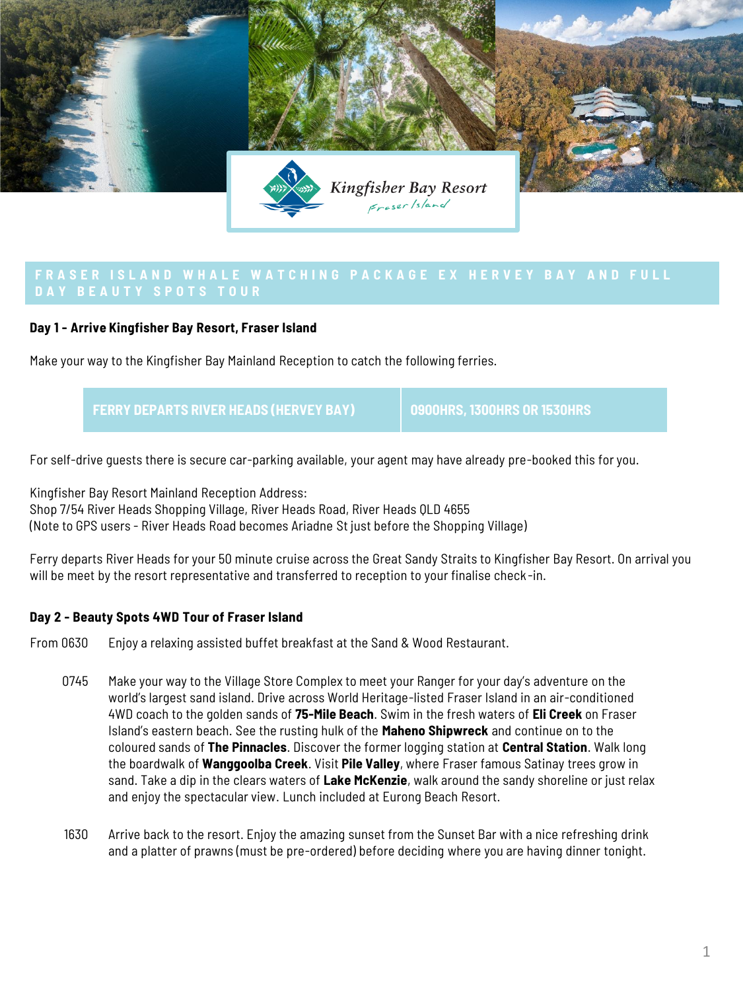

## **Day 1 - Arrive Kingfisher Bay Resort, Fraser Island**

Make your way to the Kingfisher Bay Mainland Reception to catch the following ferries.

**FERRY DEPARTS RIVER HEADS (HERVEY BAY) 0900HRS, 1300HRS OR 1530HRS**

For self-drive guests there is secure car-parking available, your agent may have already pre-booked this for you.

Kingfisher Bay Resort Mainland Reception Address: Shop 7/54 River Heads Shopping Village, River Heads Road, River Heads QLD 4655 (Note to GPS users - River Heads Road becomes Ariadne St just before the Shopping Village)

Ferry departs River Heads for your 50 minute cruise across the Great Sandy Straits to Kingfisher Bay Resort. On arrival you will be meet by the resort representative and transferred to reception to your finalise check -in.

### **Day 2 - Beauty Spots 4WD Tour of Fraser Island**

From 0630 Enjoy a relaxing assisted buffet breakfast at the Sand & Wood Restaurant.

- 0745 Make your way to the Village Store Complex to meet your Ranger for your day's adventure on the world's largest sand island. Drive across World Heritage-listed Fraser Island in an air-conditioned 4WD coach to the golden sands of **75-Mile Beach**. Swim in the fresh waters of **Eli Creek** on Fraser Island's eastern beach. See the rusting hulk of the **Maheno Shipwreck** and continue on to the coloured sands of **The Pinnacles**. Discover the former logging station at **Central Station**. Walk long the boardwalk of **Wanggoolba Creek**. Visit **Pile Valley**, where Fraser famous Satinay trees grow in sand. Take a dip in the clears waters of **Lake McKenzie**, walk around the sandy shoreline or just relax and enjoy the spectacular view. Lunch included at Eurong Beach Resort.
- 1630 Arrive back to the resort. Enjoy the amazing sunset from the Sunset Bar with a nice refreshing drink and a platter of prawns (must be pre-ordered) before deciding where you are having dinner tonight.